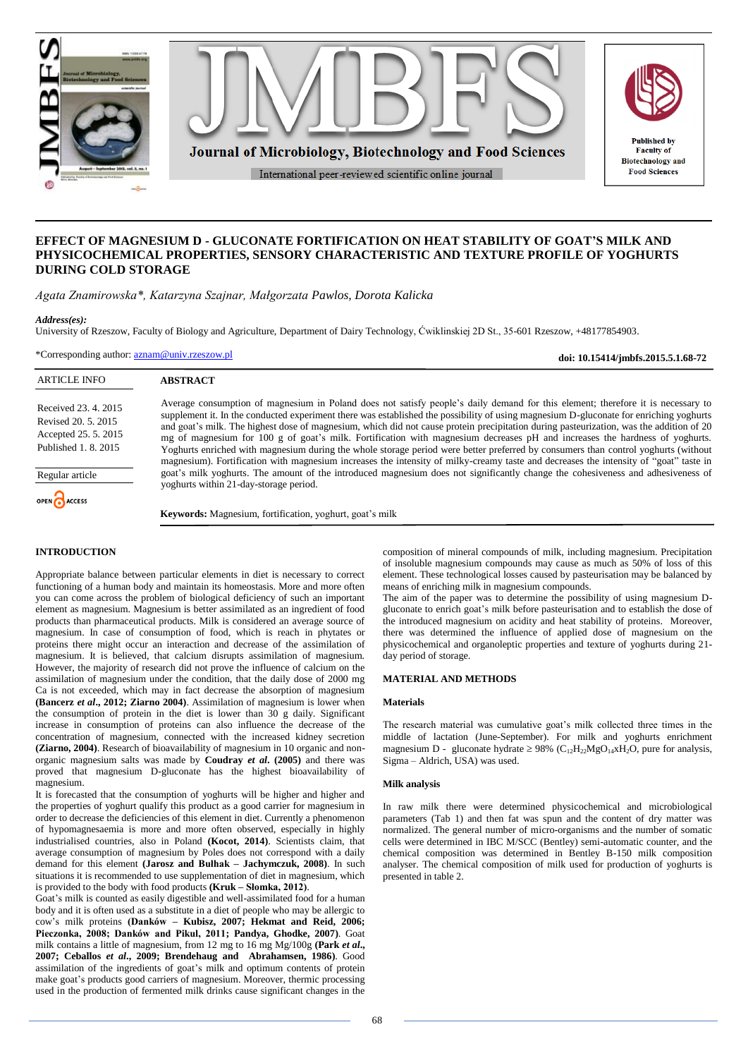

# **EFFECT OF MAGNESIUM D - GLUCONATE FORTIFICATION ON HEAT STABILITY OF GOAT'S MILK AND PHYSICOCHEMICAL PROPERTIES, SENSORY CHARACTERISTIC AND TEXTURE PROFILE OF YOGHURTS DURING COLD STORAGE**

*Agata Znamirowska\*, Katarzyna Szajnar, Małgorzata Pawlos, Dorota Kalicka*

## *Address(es):*

University of Rzeszow, Faculty of Biology and Agriculture, Department of Dairy Technology, Ćwiklinskiej 2D St., 35-601 Rzeszow, +48177854903.

\*Corresponding author: [aznam@univ.rzeszow.pl](mailto:aznam@univ.rzeszow.pl)

**doi: 10.15414/jmbfs.2015.5.1.68-72**

| <b>ARTICLE INFO</b>                                                                       | <b>ABSTRACT</b>                                                                                                                                                                                                                                                                                                                                                                                                                                                                                                                                                                                                                                                                                                                                                                                                                     |
|-------------------------------------------------------------------------------------------|-------------------------------------------------------------------------------------------------------------------------------------------------------------------------------------------------------------------------------------------------------------------------------------------------------------------------------------------------------------------------------------------------------------------------------------------------------------------------------------------------------------------------------------------------------------------------------------------------------------------------------------------------------------------------------------------------------------------------------------------------------------------------------------------------------------------------------------|
| Received 23. 4. 2015<br>Revised 20, 5, 2015<br>Accepted 25.5.2015<br>Published 1, 8, 2015 | Average consumption of magnesium in Poland does not satisfy people's daily demand for this element; therefore it is necessary to<br>supplement it. In the conducted experiment there was established the possibility of using magnesium D-gluconate for enriching yoghurts<br>and goat's milk. The highest dose of magnesium, which did not cause protein precipitation during pasteurization, was the addition of 20<br>mg of magnesium for 100 g of goat's milk. Fortification with magnesium decreases pH and increases the hardness of yoghurts.<br>Yoghurts enriched with magnesium during the whole storage period were better preferred by consumers than control yoghurts (without<br>magnesium). Fortification with magnesium increases the intensity of milky-creamy taste and decreases the intensity of "goat" taste in |
| Regular article                                                                           | goat's milk yoghurts. The amount of the introduced magnesium does not significantly change the cohesiveness and adhesiveness of<br>yoghurts within 21-day-storage period.                                                                                                                                                                                                                                                                                                                                                                                                                                                                                                                                                                                                                                                           |
| OPEN CACCESS                                                                              |                                                                                                                                                                                                                                                                                                                                                                                                                                                                                                                                                                                                                                                                                                                                                                                                                                     |
|                                                                                           | <b>Keywords:</b> Magnesium, fortification, yoghurt, goat's milk                                                                                                                                                                                                                                                                                                                                                                                                                                                                                                                                                                                                                                                                                                                                                                     |
|                                                                                           |                                                                                                                                                                                                                                                                                                                                                                                                                                                                                                                                                                                                                                                                                                                                                                                                                                     |

## **INTRODUCTION**

Appropriate balance between particular elements in diet is necessary to correct functioning of a human body and maintain its homeostasis. More and more often you can come across the problem of biological deficiency of such an important element as magnesium. Magnesium is better assimilated as an ingredient of food products than pharmaceutical products. Milk is considered an average source of magnesium. In case of consumption of food, which is reach in phytates or proteins there might occur an interaction and decrease of the assimilation of magnesium. It is believed, that calcium disrupts assimilation of magnesium. However, the majority of research did not prove the influence of calcium on the assimilation of magnesium under the condition, that the daily dose of 2000 mg Ca is not exceeded, which may in fact decrease the absorption of magnesium **(Bancerz** *et al***., 2012; Ziarno 2004)**. Assimilation of magnesium is lower when the consumption of protein in the diet is lower than  $30$  g daily. Significant increase in consumption of proteins can also influence the decrease of the concentration of magnesium, connected with the increased kidney secretion **(Ziarno, 2004)**. Research of bioavailability of magnesium in 10 organic and nonorganic magnesium salts was made by **Coudray** *et al***. (2005)** and there was proved that magnesium D-gluconate has the highest bioavailability of magnesium.

It is forecasted that the consumption of yoghurts will be higher and higher and the properties of yoghurt qualify this product as a good carrier for magnesium in order to decrease the deficiencies of this element in diet. Currently a phenomenon of hypomagnesaemia is more and more often observed, especially in highly industrialised countries, also in Poland **(Kocot, 2014)**. Scientists claim, that average consumption of magnesium by Poles does not correspond with a daily demand for this element **(Jarosz and Bułhak – Jachymczuk, 2008)**. In such situations it is recommended to use supplementation of diet in magnesium, which is provided to the body with food products **(Kruk – Słomka, 2012)**.

Goat's milk is counted as easily digestible and well-assimilated food for a human body and it is often used as a substitute in a diet of people who may be allergic to cow's milk proteins **(Danków – Kubisz, 2007; Hekmat and Reid, 2006; Pieczonka, 2008; Danków and Pikul, 2011; Pandya, Ghodke, 2007)**. Goat milk contains a little of magnesium, from 12 mg to 16 mg Mg/100g **(Park** *et al***., 2007; Ceballos** *et al***., 2009; Brendehaug and Abrahamsen, 1986)**. Good assimilation of the ingredients of goat's milk and optimum contents of protein make goat's products good carriers of magnesium. Moreover, thermic processing used in the production of fermented milk drinks cause significant changes in the

composition of mineral compounds of milk, including magnesium. Precipitation of insoluble magnesium compounds may cause as much as 50% of loss of this element. These technological losses caused by pasteurisation may be balanced by means of enriching milk in magnesium compounds.

The aim of the paper was to determine the possibility of using magnesium Dgluconate to enrich goat's milk before pasteurisation and to establish the dose of the introduced magnesium on acidity and heat stability of proteins. Moreover, there was determined the influence of applied dose of magnesium on the physicochemical and organoleptic properties and texture of yoghurts during 21 day period of storage.

## **MATERIAL AND METHODS**

#### **Materials**

The research material was cumulative goat's milk collected three times in the middle of lactation (June-September). For milk and yoghurts enrichment magnesium D - gluconate hydrate  $\geq$  98% (C<sub>12</sub>H<sub>22</sub>MgO<sub>14</sub>xH<sub>2</sub>O, pure for analysis, Sigma – Aldrich, USA) was used.

#### **Milk analysis**

In raw milk there were determined physicochemical and microbiological parameters (Tab 1) and then fat was spun and the content of dry matter was normalized. The general number of micro-organisms and the number of somatic cells were determined in IBC M/SCC (Bentley) semi-automatic counter, and the chemical composition was determined in Bentley B-150 milk composition analyser. The chemical composition of milk used for production of yoghurts is presented in table 2.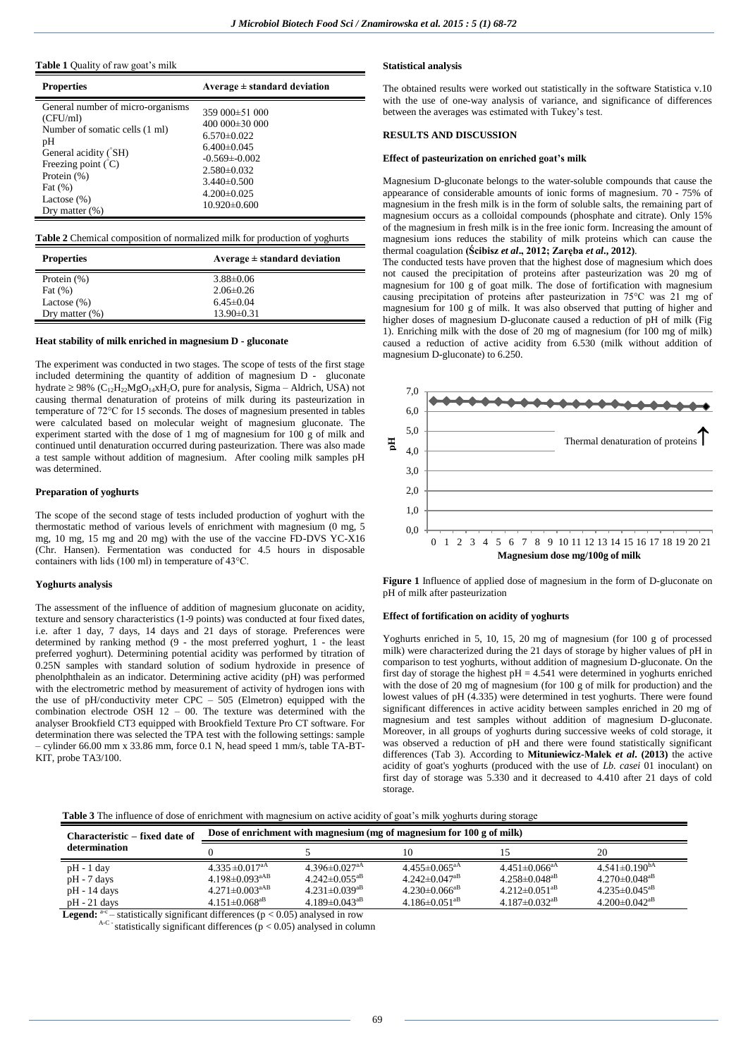#### **Table 1** Quality of raw goat's milk

| <b>Properties</b>                                                                                                                                                                                               | Average $\pm$ standard deviation                                                                                                                                                            |
|-----------------------------------------------------------------------------------------------------------------------------------------------------------------------------------------------------------------|---------------------------------------------------------------------------------------------------------------------------------------------------------------------------------------------|
| General number of micro-organisms<br>(CFU/ml)<br>Number of somatic cells (1 ml)<br>pH<br>General acidity (SH)<br>Freezing point $\rm(C)$<br>Protein $(\%)$<br>Fat $(\%)$<br>Lactose $(\%)$<br>Dry matter $(\%)$ | 359 000 ± 51 000<br>400 000 $\pm$ 30 000<br>$6.570 \pm 0.022$<br>$6.400 \pm 0.045$<br>$-0.569 \pm 0.002$<br>$2.580 \pm 0.032$<br>$3.440\pm0.500$<br>$4.200 \pm 0.025$<br>$10.920 \pm 0.600$ |

**Table 2** Chemical composition of normalized milk for production of yoghurts

| <b>Properties</b> | Average $\pm$ standard deviation |  |  |  |
|-------------------|----------------------------------|--|--|--|
| Protein $(\%)$    | $3.88 \pm 0.06$                  |  |  |  |
| Fat $(\%)$        | $2.06\pm0.26$                    |  |  |  |
| Lactose $(\%)$    | $6.45\pm0.04$                    |  |  |  |
| Dry matter $(\%)$ | $13.90 \pm 0.31$                 |  |  |  |

#### **Heat stability of milk enriched in magnesium D - gluconate**

The experiment was conducted in two stages. The scope of tests of the first stage included determining the quantity of addition of magnesium D - gluconate hydrate  $\geq$  98% (C<sub>12</sub>H<sub>22</sub>MgO<sub>14</sub>xH<sub>2</sub>O, pure for analysis, Sigma – Aldrich, USA) not causing thermal denaturation of proteins of milk during its pasteurization in temperature of 72°C for 15 seconds. The doses of magnesium presented in tables were calculated based on molecular weight of magnesium gluconate. The experiment started with the dose of 1 mg of magnesium for 100 g of milk and continued until denaturation occurred during pasteurization. There was also made a test sample without addition of magnesium. After cooling milk samples pH was determined.

#### **Preparation of yoghurts**

The scope of the second stage of tests included production of yoghurt with the thermostatic method of various levels of enrichment with magnesium (0 mg, 5 mg, 10 mg, 15 mg and 20 mg) with the use of the vaccine FD-DVS YC-X16 (Chr. Hansen). Fermentation was conducted for 4.5 hours in disposable containers with lids (100 ml) in temperature of 43°C.

#### **Yoghurts analysis**

The assessment of the influence of addition of magnesium gluconate on acidity, texture and sensory characteristics (1-9 points) was conducted at four fixed dates, i.e. after 1 day, 7 days, 14 days and 21 days of storage. Preferences were determined by ranking method (9 - the most preferred yoghurt, 1 - the least preferred yoghurt). Determining potential acidity was performed by titration of 0.25N samples with standard solution of sodium hydroxide in presence of phenolphthalein as an indicator. Determining active acidity (pH) was performed with the electrometric method by measurement of activity of hydrogen ions with the use of pH/conductivity meter  $CPC - 505$  (Elmetron) equipped with the combination electrode OSH  $12 - 00$ . The texture was determined with the analyser Brookfield CT3 equipped with Brookfield Texture Pro CT software. For determination there was selected the TPA test with the following settings: sample – cylinder 66.00 mm x 33.86 mm, force 0.1 N, head speed 1 mm/s, table TA-BT-KIT, probe TA3/100.

#### **Statistical analysis**

The obtained results were worked out statistically in the software Statistica v.10 with the use of one-way analysis of variance, and significance of differences between the averages was estimated with Tukey's test.

## **RESULTS AND DISCUSSION**

#### **Effect of pasteurization on enriched goat's milk**

Magnesium D-gluconate belongs to the water-soluble compounds that cause the appearance of considerable amounts of ionic forms of magnesium. 70 - 75% of magnesium in the fresh milk is in the form of soluble salts, the remaining part of magnesium occurs as a colloidal compounds (phosphate and citrate). Only 15% of the magnesium in fresh milk is in the free ionic form. Increasing the amount of magnesium ions reduces the stability of milk proteins which can cause the thermal coagulation **(Ścibisz** *et al***., 2012; Zaręba** *et al***., 2012)**.

The conducted tests have proven that the highest dose of magnesium which does not caused the precipitation of proteins after pasteurization was 20 mg of magnesium for 100 g of goat milk. The dose of fortification with magnesium causing precipitation of proteins after pasteurization in 75°C was 21 mg of magnesium for 100 g of milk. It was also observed that putting of higher and higher doses of magnesium D-gluconate caused a reduction of pH of milk (Fig 1). Enriching milk with the dose of 20 mg of magnesium (for 100 mg of milk) caused a reduction of active acidity from 6.530 (milk without addition of magnesium D-gluconate) to 6.250.



**Figure 1** Influence of applied dose of magnesium in the form of D-gluconate on pH of milk after pasteurization

#### **Effect of fortification on acidity of yoghurts**

Yoghurts enriched in 5, 10, 15, 20 mg of magnesium (for 100 g of processed milk) were characterized during the 21 days of storage by higher values of pH in comparison to test yoghurts, without addition of magnesium D-gluconate. On the first day of storage the highest  $pH = 4.541$  were determined in yoghurts enriched with the dose of 20 mg of magnesium (for 100 g of milk for production) and the lowest values of pH (4.335) were determined in test yoghurts. There were found significant differences in active acidity between samples enriched in 20 mg of magnesium and test samples without addition of magnesium D-gluconate. Moreover, in all groups of yoghurts during successive weeks of cold storage, it was observed a reduction of pH and there were found statistically significant differences (Tab 3). According to **Mituniewicz-Małek** *et al***. (2013)** the active acidity of goat's yoghurts (produced with the use of *Lb. casei* 01 inoculant) on first day of storage was 5.330 and it decreased to 4.410 after 21 days of cold storage.

| Characteristic – fixed date of                                    | Dose of enrichment with magnesium (mg of magnesium for 100 g of milk)                                                                    |                                                                                                                                          |                                                                                                                             |                                                                                                                                          |                                                                                                                             |  |
|-------------------------------------------------------------------|------------------------------------------------------------------------------------------------------------------------------------------|------------------------------------------------------------------------------------------------------------------------------------------|-----------------------------------------------------------------------------------------------------------------------------|------------------------------------------------------------------------------------------------------------------------------------------|-----------------------------------------------------------------------------------------------------------------------------|--|
| determination                                                     |                                                                                                                                          |                                                                                                                                          |                                                                                                                             |                                                                                                                                          | 20                                                                                                                          |  |
| $pH - 1$ day<br>$pH - 7$ days<br>$pH - 14$ days<br>$pH - 21$ days | $4.335 \pm 0.017$ <sup>aA</sup><br>4.198 $\pm$ 0.093 <sup>aAB</sup><br>$4.271 \pm 0.003^{\text{aAB}}$<br>$4.151 \pm 0.068$ <sup>aB</sup> | 4.396 $\pm$ 0.027 <sup>aA</sup><br>$4.242 \pm 0.055$ <sup>aB</sup><br>$4.231 \pm 0.039$ <sup>aB</sup><br>$4.189 \pm 0.043$ <sup>aB</sup> | $4.455 \pm 0.065^{\text{aA}}$<br>$4.242 \pm 0.047$ <sup>aB</sup><br>$4.230\pm0.066^{ab}$<br>$4.186 \pm 0.051$ <sup>aB</sup> | $4.451 \pm 0.066$ <sup>aA</sup><br>$4.258 \pm 0.048$ <sup>aB</sup><br>$4.212 \pm 0.051$ <sup>aB</sup><br>$4.187 \pm 0.032$ <sup>aB</sup> | $4.541\pm0.190^{bA}$<br>$4.270 \pm 0.048$ <sup>aB</sup><br>$4.235 \pm 0.045$ <sup>aB</sup><br>$4.200 \pm 0.042^{\text{aB}}$ |  |

**Legend:**  $a-c$  - statistically significant differences ( $p < 0.05$ ) analysed in row

 $A-C$  statistically significant differences ( $p < 0.05$ ) analysed in column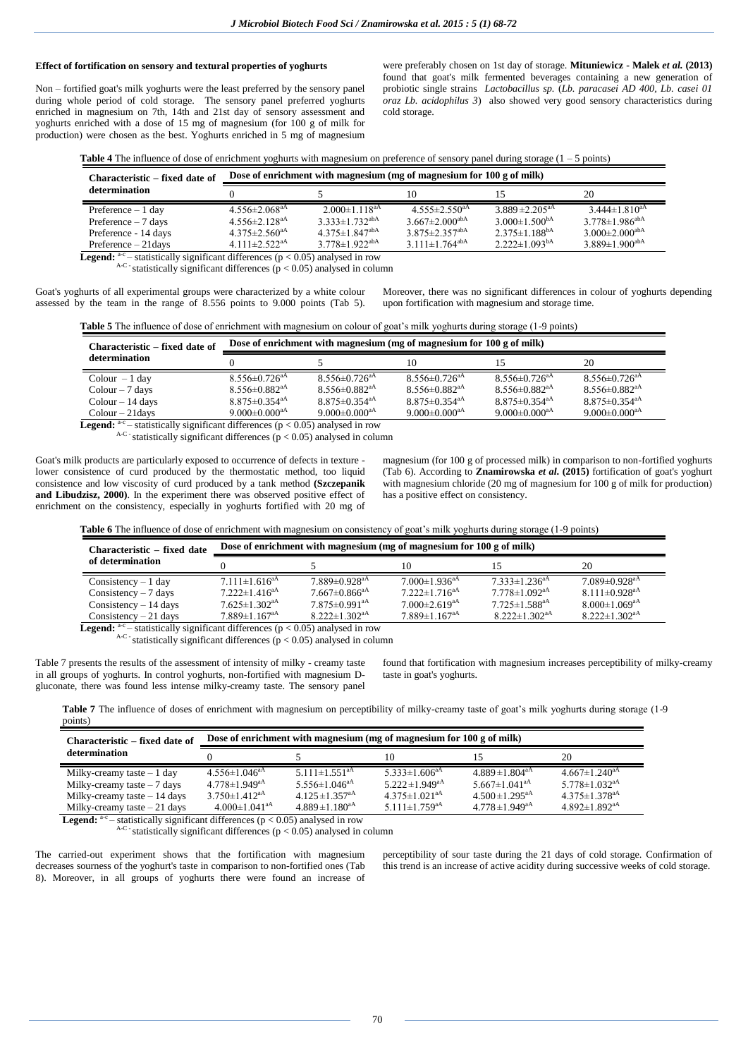## **Effect of fortification on sensory and textural properties of yoghurts**

Non – fortified goat's milk yoghurts were the least preferred by the sensory panel during whole period of cold storage. The sensory panel preferred yoghurts enriched in magnesium on 7th, 14th and 21st day of sensory assessment and yoghurts enriched with a dose of 15 mg of magnesium (for 100 g of milk for production) were chosen as the best. Yoghurts enriched in 5 mg of magnesium were preferably chosen on 1st day of storage. **Mituniewicz - Malek** *et al.* **(2013)** found that goat's milk fermented beverages containing a new generation of probiotic single strains *Lactobacillus sp.* (*Lb. paracasei AD 400, Lb. casei 01 oraz Lb. acidophilus 3*) also showed very good sensory characteristics during cold storage.

| <b>Table 4</b> The influence of dose of enrichment yoghurts with magnesium on preference of sensory panel during storage $(1 - 5 \text{ points})$ |  |  |
|---------------------------------------------------------------------------------------------------------------------------------------------------|--|--|
|                                                                                                                                                   |  |  |

| Characteristic – fixed date of                                                                        | Dose of enrichment with magnesium (mg of magnesium for $100$ g of milk) |                                  |                                  |                                 |                                  |  |  |
|-------------------------------------------------------------------------------------------------------|-------------------------------------------------------------------------|----------------------------------|----------------------------------|---------------------------------|----------------------------------|--|--|
| determination                                                                                         |                                                                         |                                  | 10                               |                                 | 20                               |  |  |
| Preference $-1$ day                                                                                   | $4.556 \pm 2.068$ <sup>aA</sup>                                         | $2.000 \pm 1.118$ <sup>aA</sup>  | $4.555 \pm 2.550$ <sup>aA</sup>  | $3.889 \pm 2.205$ <sup>aA</sup> | $3.444 \pm 1.810^{aA}$           |  |  |
| Preference $-7$ days                                                                                  | $4.556 \pm 2.128$ <sup>aA</sup>                                         | $3.333 \pm 1.732^{abA}$          | $3.667 \pm 2.000$ <sup>abA</sup> | $3.000 \pm 1.500^{bA}$          | $3.778 \pm 1.986^{abA}$          |  |  |
| Preference - 14 days                                                                                  | $4.375 \pm 2.560^{\text{aA}}$                                           | $4.375 \pm 1.847$ <sup>abA</sup> | $3.875 \pm 2.357$ <sup>abA</sup> | $2.375 \pm 1.188^{bA}$          | $3.000 \pm 2.000$ <sup>abA</sup> |  |  |
| Preference $-21$ days                                                                                 | 4.111 $\pm$ 2.522 <sup>aA</sup>                                         | $3.778 \pm 1.922$ <sup>abA</sup> | 3.111 $\pm$ 1.764 <sup>abA</sup> | $2.222 \pm 1.093^{bA}$          | $3.889 \pm 1.900$ <sup>abA</sup> |  |  |
| <b>Legend:</b> $C^{\text{ac}}$ – statistically significant differences ( $p < 0.05$ ) analysed in row |                                                                         |                                  |                                  |                                 |                                  |  |  |

 $A-C$  statistically significant differences ( $p < 0.05$ ) analysed in column

Goat's yoghurts of all experimental groups were characterized by a white colour assessed by the team in the range of 8.556 points to 9.000 points (Tab 5).

Moreover, there was no significant differences in colour of yoghurts depending upon fortification with magnesium and storage time.

**Table 5** The influence of dose of enrichment with magnesium on colour of goat's milk yoghurts during storage (1-9 points)

| Characteristic – fixed date of      | Dose of enrichment with magnesium (mg of magnesium for $100$ g of milk) |                                                      |                                 |                                 |                                 |  |
|-------------------------------------|-------------------------------------------------------------------------|------------------------------------------------------|---------------------------------|---------------------------------|---------------------------------|--|
| determination                       |                                                                         |                                                      | 10                              |                                 | 20                              |  |
| $Colour - 1 day$                    | $8.556 \pm 0.726$ <sup>aA</sup>                                         | $8.556 \pm 0.726$ <sup>aA</sup>                      | $8.556 \pm 0.726$ <sup>aA</sup> | $8.556 \pm 0.726$ <sup>aA</sup> | $8.556 \pm 0.726$ <sup>aA</sup> |  |
| $Colour - 7$ days                   | $8.556\pm0.882^{aA}$                                                    | $8.556 \pm 0.882$ <sup>aA</sup>                      | $8.556 \pm 0.882$ <sup>aA</sup> | $8.556 \pm 0.882$ <sup>aA</sup> | $8.556 \pm 0.882$ <sup>aA</sup> |  |
| $Colour - 14$ days                  | $8.875 \pm 0.354$ <sup>aA</sup>                                         | $8.875 \pm 0.354$ <sup>aA</sup>                      | $8.875 \pm 0.354$ <sup>aA</sup> | $8.875 \pm 0.354$ <sup>aA</sup> | $8.875 \pm 0.354$ <sup>aA</sup> |  |
| $Colour - 21 days$<br>$\rightarrow$ | 9.000 $\pm$ 0.000 <sup>aA</sup><br>$\cdots$                             | 9.000 $\pm$ 0.000 <sup>aA</sup><br>$\wedge$ $\wedge$ | 9.000 $\pm$ 0.000 <sup>aA</sup> | 9.000 $\pm$ 0.000 <sup>aA</sup> | 9.000 $\pm$ 0.000 <sup>aA</sup> |  |

Legend:  $c$  – statistically significant differences ( $p < 0.05$ ) analysed in row  $A-C$  statistically significant differences ( $p < 0.05$ ) analysed in column

Goat's milk products are particularly exposed to occurrence of defects in texture lower consistence of curd produced by the thermostatic method, too liquid consistence and low viscosity of curd produced by a tank method **(Szczepanik and Libudzisz, 2000)**. In the experiment there was observed positive effect of enrichment on the consistency, especially in yoghurts fortified with 20 mg of

magnesium (for 100 g of processed milk) in comparison to non-fortified yoghurts (Tab 6). According to **Znamirowska** *et al***. (2015)** fortification of goat's yoghurt with magnesium chloride (20 mg of magnesium for 100 g of milk for production) has a positive effect on consistency.

| Table 6 '<br>-influence of<br>The <b>The</b> | t dose of enrichment with magnesium on consistency of goat's milk voghurts during storage ( | points |
|----------------------------------------------|---------------------------------------------------------------------------------------------|--------|
|                                              |                                                                                             |        |

| Characteristic – fixed date                                                                           | Dose of enrichment with magnesium (mg of magnesium for $100 g$ of milk) |                               |                                 |                                 |                                 |  |  |
|-------------------------------------------------------------------------------------------------------|-------------------------------------------------------------------------|-------------------------------|---------------------------------|---------------------------------|---------------------------------|--|--|
| of determination                                                                                      |                                                                         |                               | 10                              |                                 | 20                              |  |  |
| Consistency $-1$ day                                                                                  | $7.111 \pm 1.616$ <sup>aA</sup>                                         | $7.889\pm0.928$ <sup>aA</sup> | $7.000 \pm 1.936$ <sup>aA</sup> | $7.333 \pm 1.236$ <sup>aA</sup> | $7.089 \pm 0.928$ <sup>aA</sup> |  |  |
| Consistency $-7$ days                                                                                 | $7.222 \pm 1.416^{\text{aA}}$                                           | $7.667\pm0.866$ <sup>aA</sup> | $7.222 \pm 1.716$ <sup>aA</sup> | $7.778 \pm 1.092$ <sup>aA</sup> | $8.111 \pm 0.928$ <sup>aA</sup> |  |  |
| Consistency $-14$ days                                                                                | $7.625 \pm 1.302$ <sup>aA</sup>                                         | $7.875\pm0.991$ <sup>aA</sup> | $7.000\pm2.619^{aA}$            | $7.725 \pm 1.588$ <sup>aA</sup> | $8.000 \pm 1.069$ <sup>aA</sup> |  |  |
| Consistency $-21$ days                                                                                | $7.889 \pm 1.167$ <sup>aA</sup>                                         | $8.222 \pm 1.302^{\text{aA}}$ | $7.889 \pm 1.167$ <sup>aA</sup> | $8.222 \pm 1.302$ <sup>aA</sup> | $8.222 \pm 1.302$ <sup>aA</sup> |  |  |
| <b>Legend:</b> $C^{\text{ac}}$ – statistically significant differences ( $p < 0.05$ ) analysed in row |                                                                         |                               |                                 |                                 |                                 |  |  |

Legend:  $A-C$  -statistically significant differences ( $p < 0.05$ ) analysed in column

Table 7 presents the results of the assessment of intensity of milky - creamy taste in all groups of yoghurts. In control yoghurts, non-fortified with magnesium Dgluconate, there was found less intense milky-creamy taste. The sensory panel found that fortification with magnesium increases perceptibility of milky-creamy taste in goat's yoghurts.

Table 7 The influence of doses of enrichment with magnesium on perceptibility of milky-creamy taste of goat's milk yoghurts during storage (1-9 points)

| Characteristic – fixed date of                                                              | Dose of enrichment with magnesium (mg of magnesium for 100 g of milk) |                                 |                                 |                                 |                                 |  |
|---------------------------------------------------------------------------------------------|-----------------------------------------------------------------------|---------------------------------|---------------------------------|---------------------------------|---------------------------------|--|
| determination                                                                               |                                                                       |                                 | 10                              |                                 | 20                              |  |
| Milky-creamy taste $-1$ day                                                                 | $4.556 \pm 1.046^{\text{aA}}$                                         | $5.111 \pm 1.551$ <sup>aA</sup> | 5.333 $\pm$ 1.606 <sup>aA</sup> | $4.889 \pm 1.804$ <sup>aA</sup> | $4.667 \pm 1.240^{\text{aA}}$   |  |
| Milky-creamy taste $-7$ days                                                                | $4.778 \pm 1.949^{\text{aA}}$                                         | 5.556 $\pm$ 1.046 <sup>aA</sup> | $5.222 \pm 1.949^{\text{aA}}$   | 5.667 $\pm$ 1.041 <sup>aA</sup> | $5.778 \pm 1.032$ <sup>aA</sup> |  |
| Milky-creamy taste $-14$ days                                                               | $3.750 \pm 1.412^{aA}$                                                | $4.125 \pm 1.357$ <sup>aA</sup> | $4.375 \pm 1.021$ <sup>aA</sup> | $4.500 \pm 1.295$ <sup>aA</sup> | $4.375 \pm 1.378$ <sup>aA</sup> |  |
| Milky-creamy taste $-21$ days                                                               | $4.000 \pm 1.041$ <sup>aA</sup>                                       | $4.889 \pm 1.180$ <sup>aA</sup> | 5.111 $\pm$ 1.759 <sup>aA</sup> | $4.778 \pm 1.949$ <sup>aA</sup> | $4.892 \pm 1.892$ <sup>aA</sup> |  |
| <b>Legend:</b> $a-c$ – statistically significant differences ( $p < 0.05$ ) analysed in row |                                                                       |                                 |                                 |                                 |                                 |  |

 $\epsilon$ <sup>-</sup> statistically significant differences ( $p < 0.05$ ) analysed in row  $A-C$  statistically significant differences ( $p < 0.05$ ) analysed in column

The carried-out experiment shows that the fortification with magnesium decreases sourness of the yoghurt's taste in comparison to non-fortified ones (Tab 8). Moreover, in all groups of yoghurts there were found an increase of

perceptibility of sour taste during the 21 days of cold storage. Confirmation of this trend is an increase of active acidity during successive weeks of cold storage.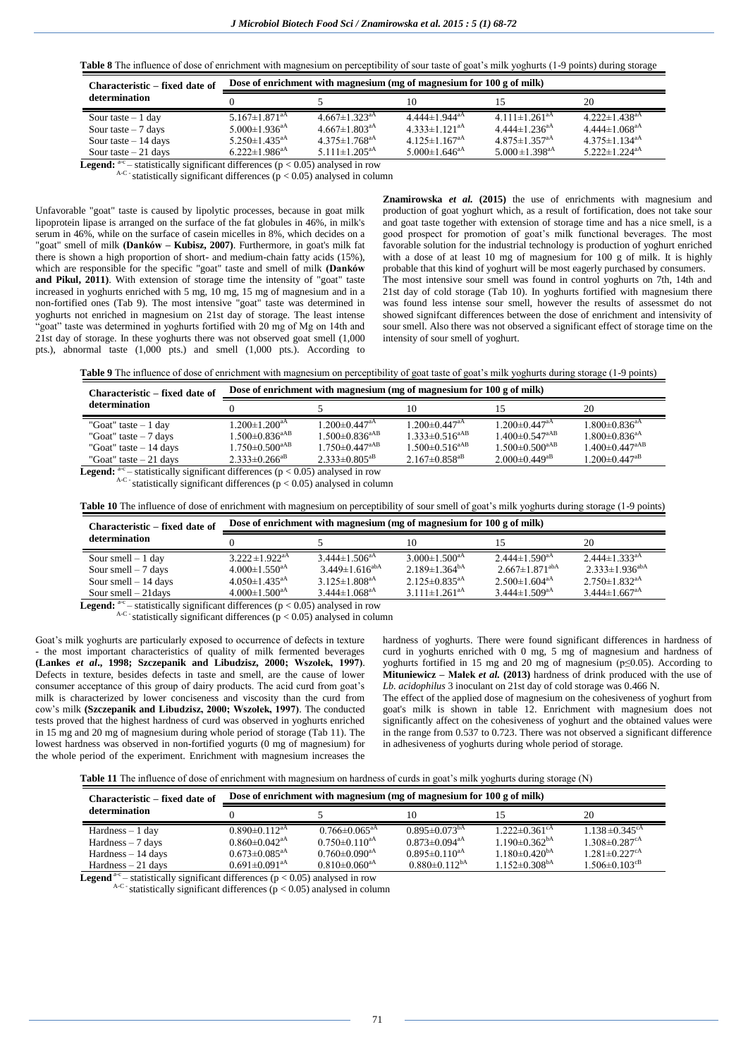**Table 8** The influence of dose of enrichment with magnesium on perceptibility of sour taste of goat's milk yoghurts (1-9 points) during storage

| Characteristic – fixed date of | Dose of enrichment with magnesium (mg of magnesium for 100 g of milk) |                                 |                                 |                                 |                                 |  |
|--------------------------------|-----------------------------------------------------------------------|---------------------------------|---------------------------------|---------------------------------|---------------------------------|--|
| determination                  |                                                                       |                                 | 10                              |                                 | 20                              |  |
| Sour taste $-1$ day            | $5.167 \pm 1.871$ <sup>aA</sup>                                       | $4.667 \pm 1.323$ <sup>aA</sup> | $4.444 \pm 1.944$ <sup>aA</sup> | $4.111 \pm 1.261$ <sup>aA</sup> | $4.222 \pm 1.438$ <sup>aA</sup> |  |
| Sour taste $-7$ days           | $5.000 \pm 1.936$ <sup>aA</sup>                                       | $4.667 \pm 1.803$ <sup>aA</sup> | $4.333 \pm 1.121$ <sup>aA</sup> | $4.444 \pm 1.236$ <sup>aA</sup> | $4.444 \pm 1.068$ <sup>aA</sup> |  |
| Sour taste $-14$ days          | $5.250 \pm 1.435$ <sup>aA</sup>                                       | $4.375 \pm 1.768$ <sup>aA</sup> | $4.125 \pm 1.167$ <sup>aA</sup> | $4.875 \pm 1.357$ <sup>aA</sup> | $4.375 \pm 1.134$ <sup>aA</sup> |  |
| Sour taste $-21$ days          | $6.222 \pm 1.986^{\text{aA}}$                                         | $5.111 \pm 1.205^{\text{aA}}$   | $5.000 \pm 1.646^{\text{aA}}$   | $5.000 \pm 1.398$ <sup>aA</sup> | 5.222 $\pm$ 1.224 <sup>aA</sup> |  |

**Legend:**  $a-c$  - statistically significant differences ( $p < 0.05$ ) analysed in row

 $A-C$  -statistically significant differences ( $p < 0.05$ ) analysed in column

Unfavorable "goat" taste is caused by lipolytic processes, because in goat milk lipoprotein lipase is arranged on the surface of the fat globules in 46%, in milk's serum in 46%, while on the surface of casein micelles in 8%, which decides on a "goat" smell of milk **(Danków – Kubisz, 2007)**. Furthermore, in goat's milk fat there is shown a high proportion of short- and medium-chain fatty acids (15%), which are responsible for the specific "goat" taste and smell of milk **(Danków**  and Pikul, 2011). With extension of storage time the intensity of "goat" taste increased in yoghurts enriched with 5 mg, 10 mg, 15 mg of magnesium and in a non-fortified ones (Tab 9). The most intensive "goat" taste was determined in yoghurts not enriched in magnesium on 21st day of storage. The least intense "goat" taste was determined in yoghurts fortified with 20 mg of Mg on 14th and 21st day of storage. In these yoghurts there was not observed goat smell (1,000 pts.), abnormal taste (1,000 pts.) and smell (1,000 pts.). According to **Znamirowska** *et al.* **(2015)** the use of enrichments with magnesium and production of goat yoghurt which, as a result of fortification, does not take sour and goat taste together with extension of storage time and has a nice smell, is a good prospect for promotion of goat's milk functional beverages. The most favorable solution for the industrial technology is production of yoghurt enriched with a dose of at least 10 mg of magnesium for 100 g of milk. It is highly probable that this kind of yoghurt will be most eagerly purchased by consumers. The most intensive sour smell was found in control yoghurts on 7th, 14th and 21st day of cold storage (Tab 10). In yoghurts fortified with magnesium there was found less intense sour smell, however the results of assessmet do not showed signifcant differences between the dose of enrichment and intensivity of sour smell. Also there was not observed a significant effect of storage time on the intensity of sour smell of yoghurt.

**Table 9** The influence of dose of enrichment with magnesium on perceptibility of goat taste of goat's milk yoghurts during storage (1-9 points)

| Dose of enrichment with magnesium (mg of magnesium for 100 g of milk) |                                  |                                                                                                                                                                                                                                                                                                                                                   |                                 |                                 |
|-----------------------------------------------------------------------|----------------------------------|---------------------------------------------------------------------------------------------------------------------------------------------------------------------------------------------------------------------------------------------------------------------------------------------------------------------------------------------------|---------------------------------|---------------------------------|
|                                                                       |                                  | 10                                                                                                                                                                                                                                                                                                                                                |                                 | 20                              |
| $1.200 \pm 1.200$ <sup>aA</sup>                                       | $1.200 \pm 0.447$ <sup>aA</sup>  | $1.200 \pm 0.447$ <sup>aA</sup>                                                                                                                                                                                                                                                                                                                   | $1.200 \pm 0.447$ <sup>aA</sup> | $1.800 \pm 0.836$ <sup>aA</sup> |
| $1.500 \pm 0.836$ <sup>aAB</sup>                                      | $1.500 \pm 0.836$ <sup>aAB</sup> | $1.333 \pm 0.516^{aAB}$                                                                                                                                                                                                                                                                                                                           | $1.400 \pm 0.547^{\text{aAB}}$  | $1.800 \pm 0.836$ <sup>aA</sup> |
| $1.750 \pm 0.500^{\text{aAB}}$                                        | $1.750 \pm 0.447^{\mathrm{aAB}}$ | $1.500 \pm 0.516$ <sup>aAB</sup>                                                                                                                                                                                                                                                                                                                  | $1.500 \pm 0.500^{\text{aAB}}$  | $1.400 \pm 0.447^{\text{aAB}}$  |
| $2.333 \pm 0.266^{aB}$                                                |                                  | $2.167\pm0.858^{aB}$                                                                                                                                                                                                                                                                                                                              | $2.000 \pm 0.449$ <sup>aB</sup> | $1.200 \pm 0.447$ <sup>aB</sup> |
|                                                                       |                                  | $2.333 \pm 0.805^{aB}$<br><b>T</b> about 1, <sup>2-0</sup> . that the limit of the Count of Construction (a) $\wedge$ $\wedge$ $\wedge$ $\wedge$ $\wedge$ $\wedge$ $\wedge$ $\wedge$ $\wedge$ $\wedge$ $\wedge$ $\wedge$ $\wedge$ $\wedge$ $\wedge$ $\wedge$ $\wedge$ $\wedge$ $\wedge$ $\wedge$ $\wedge$ $\wedge$ $\wedge$ $\wedge$ $\wedge$ $\$ |                                 |                                 |

Legend: – statistically significant differences (p < 0.05) analysed in row

 $A-C$  statistically significant differences ( $p < 0.05$ ) analysed in column

**Table 10** The influence of dose of enrichment with magnesium on perceptibility of sour smell of goat's milk yoghurts during storage (1-9 points)

| Characteristic – fixed date of |                                 | Dose of enrichment with magnesium (mg of magnesium for 100 g of milk) |                                 |                                  |                                 |
|--------------------------------|---------------------------------|-----------------------------------------------------------------------|---------------------------------|----------------------------------|---------------------------------|
| determination                  |                                 |                                                                       | 10                              |                                  | 20                              |
| Sour smell $-1$ day            | $3.222 \pm 1.922^{aA}$          | $3.444 \pm 1.506$ <sup>aA</sup>                                       | $3.000 \pm 1.500$ <sup>aA</sup> | $2.444 \pm 1.590$ <sup>aA</sup>  | $2.444 \pm 1.333$ <sup>aA</sup> |
| Sour smell $-7$ days           | $4.000 \pm 1.550$ <sup>aA</sup> | $3.449 \pm 1.616^{abA}$                                               | $2.189 \pm 1.364^{\text{bA}}$   | $2.667 \pm 1.871$ <sup>abA</sup> | $2.333 \pm 1.936^{ab}$          |
| Sour smell $-14$ days          | $4.050 \pm 1.435$ <sup>aA</sup> | $3.125 \pm 1.808$ <sup>aA</sup>                                       | $2.125 \pm 0.835$ <sup>aA</sup> | $2.500 \pm 1.604$ <sup>aA</sup>  | $2.750 \pm 1.832$ <sup>aA</sup> |
| Sour smell $-21$ days          | $4.000 \pm 1.500$ <sup>aA</sup> | $3.444 \pm 1.068$ <sup>aA</sup>                                       | $3.111 \pm 1.261$ <sup>aA</sup> | $3.444 \pm 1.509$ <sup>aA</sup>  | $3.444 \pm 1.667$ <sup>aA</sup> |

**Legend:**  $a-c$  – statistically significant differences ( $p < 0.05$ ) analysed in row

 $A-C$  statistically significant differences ( $p < 0.05$ ) analysed in column

Goat's milk yoghurts are particularly exposed to occurrence of defects in texture - the most important characteristics of quality of milk fermented beverages **(Lankes** *et al***., 1998; Szczepanik and Libudzisz, 2000; Wszołek, 1997)**. Defects in texture, besides defects in taste and smell, are the cause of lower consumer acceptance of this group of dairy products. The acid curd from goat's milk is characterized by lower conciseness and viscosity than the curd from cow's milk **(Szczepanik and Libudzisz, 2000; Wszołek, 1997)**. The conducted tests proved that the highest hardness of curd was observed in yoghurts enriched in 15 mg and 20 mg of magnesium during whole period of storage (Tab 11). The lowest hardness was observed in non-fortified yogurts (0 mg of magnesium) for the whole period of the experiment. Enrichment with magnesium increases the hardness of yoghurts. There were found significant differences in hardness of curd in yoghurts enriched with 0 mg, 5 mg of magnesium and hardness of yoghurts fortified in 15 mg and 20 mg of magnesium (p≤0.05). According to **Mituniewicz – Małek** *et al.* **(2013)** hardness of drink produced with the use of *Lb. acidophilus* 3 inoculant on 21st day of cold storage was 0.466 N.

The effect of the applied dose of magnesium on the cohesiveness of yoghurt from goat's milk is shown in table 12. Enrichment with magnesium does not significantly affect on the cohesiveness of yoghurt and the obtained values were in the range from 0.537 to 0.723. There was not observed a significant difference in adhesiveness of yoghurts during whole period of storage.

**Table 11** The influence of dose of enrichment with magnesium on hardness of curds in goat's milk yoghurts during storage (N)

| Characteristic – fixed date of<br>determination                                                     |                                 | Dose of enrichment with magnesium (mg of magnesium for 100 g of milk) |                                 |                                 |                                 |  |
|-----------------------------------------------------------------------------------------------------|---------------------------------|-----------------------------------------------------------------------|---------------------------------|---------------------------------|---------------------------------|--|
|                                                                                                     |                                 |                                                                       | 10                              |                                 | 20                              |  |
| Hardness $-1$ day                                                                                   | $0.890 \pm 0.112$ <sup>aA</sup> | $0.766 \pm 0.065$ <sup>aA</sup>                                       | $0.895 \pm 0.073^{bA}$          | $1.222 \pm 0.361^{\text{cA}}$   | $1.138 \pm 0.345$ <sup>cA</sup> |  |
| $Hardness - 7 days$                                                                                 | $0.860 \pm 0.042^{\text{aA}}$   | $0.750 \pm 0.110^{aA}$                                                | $0.873 \pm 0.094$ <sup>aA</sup> | $1.190 \pm 0.362^{bA}$          | $1.308 \pm 0.287$ <sup>cA</sup> |  |
| $Hardness - 14 days$                                                                                | $0.673 \pm 0.085$ <sup>aA</sup> | $0.760 \pm 0.090^{\text{aA}}$                                         | $0.895 \pm 0.110^{aA}$          | $1.180 \pm 0.420$ <sup>bA</sup> | $1.281 \pm 0.227$ <sup>cA</sup> |  |
| $Hardness - 21$ days                                                                                | $0.691 \pm 0.091^{\text{aA}}$   | $0.810\pm0.060^{\text{aA}}$                                           | $0.880 \pm 0.112^{bA}$          | $1.152 \pm 0.308$ <sup>bA</sup> | $1.506 \pm 0.103$ <sup>cB</sup> |  |
| <b>Legend</b> <sup>a-c</sup> – statistically significant differences ( $p < 0.05$ ) analysed in row |                                 |                                                                       |                                 |                                 |                                 |  |

 $A-C$ -statistically significant differences ( $p < 0.05$ ) analysed in column